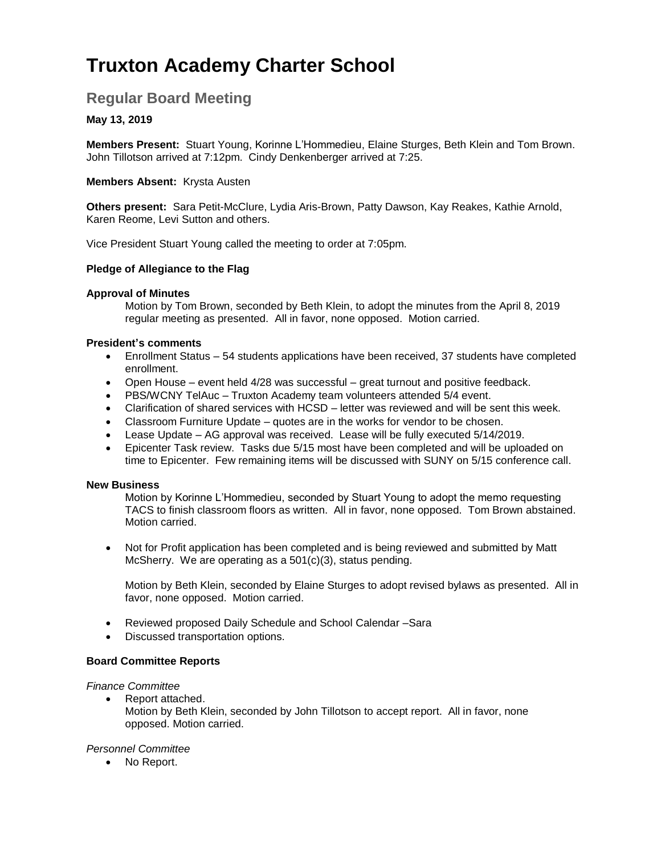# **Truxton Academy Charter School**

## **Regular Board Meeting**

### **May 13, 2019**

**Members Present:** Stuart Young, Korinne L'Hommedieu, Elaine Sturges, Beth Klein and Tom Brown. John Tillotson arrived at 7:12pm. Cindy Denkenberger arrived at 7:25.

#### **Members Absent:** Krysta Austen

**Others present:** Sara Petit-McClure, Lydia Aris-Brown, Patty Dawson, Kay Reakes, Kathie Arnold, Karen Reome, Levi Sutton and others.

Vice President Stuart Young called the meeting to order at 7:05pm.

#### **Pledge of Allegiance to the Flag**

#### **Approval of Minutes**

Motion by Tom Brown, seconded by Beth Klein, to adopt the minutes from the April 8, 2019 regular meeting as presented. All in favor, none opposed. Motion carried.

#### **President's comments**

- Enrollment Status 54 students applications have been received, 37 students have completed enrollment.
- Open House event held 4/28 was successful great turnout and positive feedback.
- PBS/WCNY TelAuc Truxton Academy team volunteers attended 5/4 event.
- Clarification of shared services with HCSD letter was reviewed and will be sent this week.
- Classroom Furniture Update quotes are in the works for vendor to be chosen.
- Lease Update AG approval was received. Lease will be fully executed 5/14/2019.
- Epicenter Task review. Tasks due 5/15 most have been completed and will be uploaded on time to Epicenter. Few remaining items will be discussed with SUNY on 5/15 conference call.

#### **New Business**

Motion by Korinne L'Hommedieu, seconded by Stuart Young to adopt the memo requesting TACS to finish classroom floors as written. All in favor, none opposed. Tom Brown abstained. Motion carried.

 Not for Profit application has been completed and is being reviewed and submitted by Matt McSherry. We are operating as a 501(c)(3), status pending.

Motion by Beth Klein, seconded by Elaine Sturges to adopt revised bylaws as presented. All in favor, none opposed. Motion carried.

- Reviewed proposed Daily Schedule and School Calendar –Sara
- Discussed transportation options.

#### **Board Committee Reports**

#### *Finance Committee*

• Report attached. Motion by Beth Klein, seconded by John Tillotson to accept report. All in favor, none opposed. Motion carried.

#### *Personnel Committee*

• No Report.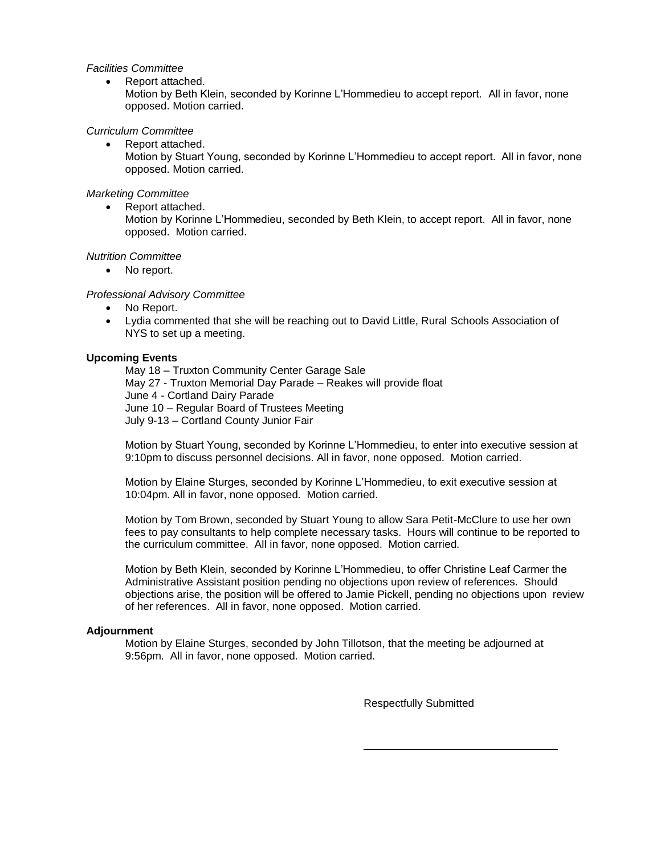#### *Facilities Committee*

- Report attached.
- Motion by Beth Klein, seconded by Korinne L'Hommedieu to accept report. All in favor, none opposed. Motion carried.

#### *Curriculum Committee*

- Report attached.
	- Motion by Stuart Young, seconded by Korinne L'Hommedieu to accept report. All in favor, none opposed. Motion carried.

#### *Marketing Committee*

Report attached.

Motion by Korinne L'Hommedieu, seconded by Beth Klein, to accept report. All in favor, none opposed. Motion carried.

#### *Nutrition Committee*

• No report.

#### *Professional Advisory Committee*

- No Report.
- Lydia commented that she will be reaching out to David Little, Rural Schools Association of NYS to set up a meeting.

#### **Upcoming Events**

May 18 – Truxton Community Center Garage Sale May 27 - Truxton Memorial Day Parade – Reakes will provide float June 4 - Cortland Dairy Parade June 10 – Regular Board of Trustees Meeting July 9-13 – Cortland County Junior Fair

Motion by Stuart Young, seconded by Korinne L'Hommedieu, to enter into executive session at 9:10pm to discuss personnel decisions. All in favor, none opposed. Motion carried.

Motion by Elaine Sturges, seconded by Korinne L'Hommedieu, to exit executive session at 10:04pm. All in favor, none opposed. Motion carried.

Motion by Tom Brown, seconded by Stuart Young to allow Sara Petit-McClure to use her own fees to pay consultants to help complete necessary tasks. Hours will continue to be reported to the curriculum committee. All in favor, none opposed. Motion carried.

Motion by Beth Klein, seconded by Korinne L'Hommedieu, to offer Christine Leaf Carmer the Administrative Assistant position pending no objections upon review of references. Should objections arise, the position will be offered to Jamie Pickell, pending no objections upon review of her references. All in favor, none opposed. Motion carried.

#### **Adjournment**

Motion by Elaine Sturges, seconded by John Tillotson, that the meeting be adjourned at 9:56pm. All in favor, none opposed. Motion carried.

Respectfully Submitted